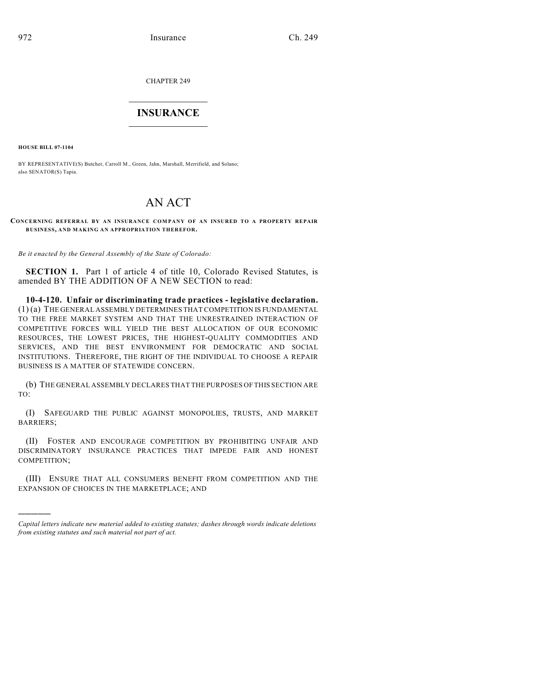CHAPTER 249

## $\overline{\phantom{a}}$  . The set of the set of the set of the set of the set of the set of the set of the set of the set of the set of the set of the set of the set of the set of the set of the set of the set of the set of the set o **INSURANCE**  $\frac{1}{2}$  ,  $\frac{1}{2}$  ,  $\frac{1}{2}$  ,  $\frac{1}{2}$  ,  $\frac{1}{2}$  ,  $\frac{1}{2}$  ,  $\frac{1}{2}$

**HOUSE BILL 07-1104**

)))))

BY REPRESENTATIVE(S) Butcher, Carroll M., Green, Jahn, Marshall, Merrifield, and Solano; also SENATOR(S) Tapia.

## AN ACT

## **CONCERNING REFERRAL BY AN INSURANCE COM PANY OF AN INSURED TO A PROPERTY REPAIR BUSINESS, AND MAKING AN APPROPRIATION THEREFOR.**

*Be it enacted by the General Assembly of the State of Colorado:*

**SECTION 1.** Part 1 of article 4 of title 10, Colorado Revised Statutes, is amended BY THE ADDITION OF A NEW SECTION to read:

**10-4-120. Unfair or discriminating trade practices - legislative declaration.** (1) (a) THE GENERAL ASSEMBLY DETERMINES THAT COMPETITION IS FUNDAMENTAL TO THE FREE MARKET SYSTEM AND THAT THE UNRESTRAINED INTERACTION OF COMPETITIVE FORCES WILL YIELD THE BEST ALLOCATION OF OUR ECONOMIC RESOURCES, THE LOWEST PRICES, THE HIGHEST-QUALITY COMMODITIES AND SERVICES, AND THE BEST ENVIRONMENT FOR DEMOCRATIC AND SOCIAL INSTITUTIONS. THEREFORE, THE RIGHT OF THE INDIVIDUAL TO CHOOSE A REPAIR BUSINESS IS A MATTER OF STATEWIDE CONCERN.

(b) THE GENERAL ASSEMBLY DECLARES THAT THE PURPOSES OF THIS SECTION ARE TO:

(I) SAFEGUARD THE PUBLIC AGAINST MONOPOLIES, TRUSTS, AND MARKET BARRIERS;

(II) FOSTER AND ENCOURAGE COMPETITION BY PROHIBITING UNFAIR AND DISCRIMINATORY INSURANCE PRACTICES THAT IMPEDE FAIR AND HONEST COMPETITION;

(III) ENSURE THAT ALL CONSUMERS BENEFIT FROM COMPETITION AND THE EXPANSION OF CHOICES IN THE MARKETPLACE; AND

*Capital letters indicate new material added to existing statutes; dashes through words indicate deletions from existing statutes and such material not part of act.*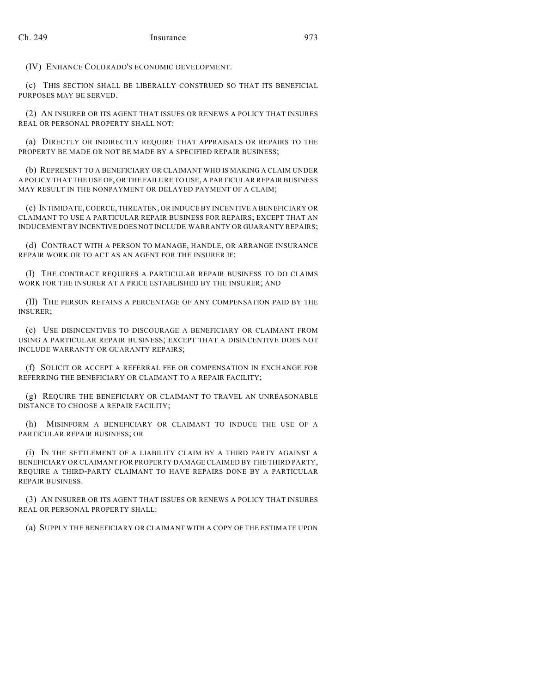(IV) ENHANCE COLORADO'S ECONOMIC DEVELOPMENT.

(c) THIS SECTION SHALL BE LIBERALLY CONSTRUED SO THAT ITS BENEFICIAL PURPOSES MAY BE SERVED.

(2) AN INSURER OR ITS AGENT THAT ISSUES OR RENEWS A POLICY THAT INSURES REAL OR PERSONAL PROPERTY SHALL NOT:

(a) DIRECTLY OR INDIRECTLY REQUIRE THAT APPRAISALS OR REPAIRS TO THE PROPERTY BE MADE OR NOT BE MADE BY A SPECIFIED REPAIR BUSINESS;

(b) REPRESENT TO A BENEFICIARY OR CLAIMANT WHO IS MAKING A CLAIM UNDER A POLICY THAT THE USE OF, OR THE FAILURE TO USE, A PARTICULAR REPAIR BUSINESS MAY RESULT IN THE NONPAYMENT OR DELAYED PAYMENT OF A CLAIM;

(c) INTIMIDATE, COERCE, THREATEN, OR INDUCE BY INCENTIVE A BENEFICIARY OR CLAIMANT TO USE A PARTICULAR REPAIR BUSINESS FOR REPAIRS; EXCEPT THAT AN INDUCEMENT BY INCENTIVE DOES NOT INCLUDE WARRANTY OR GUARANTY REPAIRS;

(d) CONTRACT WITH A PERSON TO MANAGE, HANDLE, OR ARRANGE INSURANCE REPAIR WORK OR TO ACT AS AN AGENT FOR THE INSURER IF:

(I) THE CONTRACT REQUIRES A PARTICULAR REPAIR BUSINESS TO DO CLAIMS WORK FOR THE INSURER AT A PRICE ESTABLISHED BY THE INSURER; AND

(II) THE PERSON RETAINS A PERCENTAGE OF ANY COMPENSATION PAID BY THE INSURER;

(e) USE DISINCENTIVES TO DISCOURAGE A BENEFICIARY OR CLAIMANT FROM USING A PARTICULAR REPAIR BUSINESS; EXCEPT THAT A DISINCENTIVE DOES NOT INCLUDE WARRANTY OR GUARANTY REPAIRS;

(f) SOLICIT OR ACCEPT A REFERRAL FEE OR COMPENSATION IN EXCHANGE FOR REFERRING THE BENEFICIARY OR CLAIMANT TO A REPAIR FACILITY;

(g) REQUIRE THE BENEFICIARY OR CLAIMANT TO TRAVEL AN UNREASONABLE DISTANCE TO CHOOSE A REPAIR FACILITY;

(h) MISINFORM A BENEFICIARY OR CLAIMANT TO INDUCE THE USE OF A PARTICULAR REPAIR BUSINESS; OR

(i) IN THE SETTLEMENT OF A LIABILITY CLAIM BY A THIRD PARTY AGAINST A BENEFICIARY OR CLAIMANT FOR PROPERTY DAMAGE CLAIMED BY THE THIRD PARTY, REQUIRE A THIRD-PARTY CLAIMANT TO HAVE REPAIRS DONE BY A PARTICULAR REPAIR BUSINESS.

(3) AN INSURER OR ITS AGENT THAT ISSUES OR RENEWS A POLICY THAT INSURES REAL OR PERSONAL PROPERTY SHALL:

(a) SUPPLY THE BENEFICIARY OR CLAIMANT WITH A COPY OF THE ESTIMATE UPON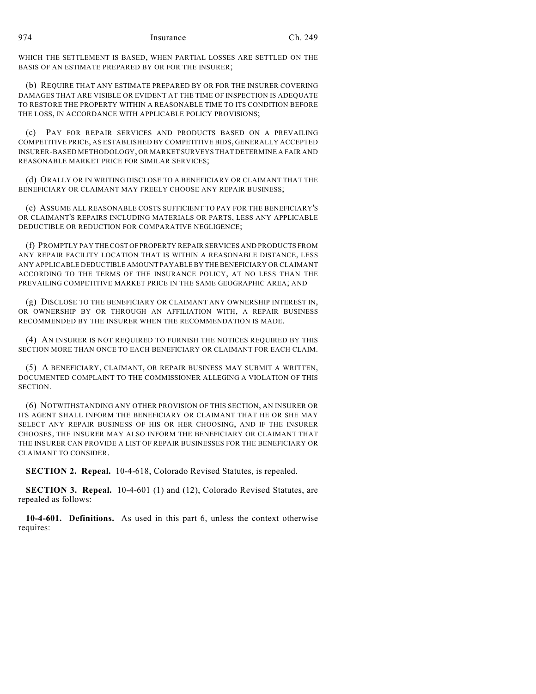WHICH THE SETTLEMENT IS BASED, WHEN PARTIAL LOSSES ARE SETTLED ON THE BASIS OF AN ESTIMATE PREPARED BY OR FOR THE INSURER;

(b) REQUIRE THAT ANY ESTIMATE PREPARED BY OR FOR THE INSURER COVERING DAMAGES THAT ARE VISIBLE OR EVIDENT AT THE TIME OF INSPECTION IS ADEQUATE TO RESTORE THE PROPERTY WITHIN A REASONABLE TIME TO ITS CONDITION BEFORE THE LOSS, IN ACCORDANCE WITH APPLICABLE POLICY PROVISIONS;

(c) PAY FOR REPAIR SERVICES AND PRODUCTS BASED ON A PREVAILING COMPETITIVE PRICE, AS ESTABLISHED BY COMPETITIVE BIDS, GENERALLY ACCEPTED INSURER-BASED METHODOLOGY, OR MARKET SURVEYS THAT DETERMINE A FAIR AND REASONABLE MARKET PRICE FOR SIMILAR SERVICES;

(d) ORALLY OR IN WRITING DISCLOSE TO A BENEFICIARY OR CLAIMANT THAT THE BENEFICIARY OR CLAIMANT MAY FREELY CHOOSE ANY REPAIR BUSINESS;

(e) ASSUME ALL REASONABLE COSTS SUFFICIENT TO PAY FOR THE BENEFICIARY'S OR CLAIMANT'S REPAIRS INCLUDING MATERIALS OR PARTS, LESS ANY APPLICABLE DEDUCTIBLE OR REDUCTION FOR COMPARATIVE NEGLIGENCE;

(f) PROMPTLY PAY THE COST OF PROPERTY REPAIR SERVICES AND PRODUCTS FROM ANY REPAIR FACILITY LOCATION THAT IS WITHIN A REASONABLE DISTANCE, LESS ANY APPLICABLE DEDUCTIBLE AMOUNT PAYABLE BY THE BENEFICIARY OR CLAIMANT ACCORDING TO THE TERMS OF THE INSURANCE POLICY, AT NO LESS THAN THE PREVAILING COMPETITIVE MARKET PRICE IN THE SAME GEOGRAPHIC AREA; AND

(g) DISCLOSE TO THE BENEFICIARY OR CLAIMANT ANY OWNERSHIP INTEREST IN, OR OWNERSHIP BY OR THROUGH AN AFFILIATION WITH, A REPAIR BUSINESS RECOMMENDED BY THE INSURER WHEN THE RECOMMENDATION IS MADE.

(4) AN INSURER IS NOT REQUIRED TO FURNISH THE NOTICES REQUIRED BY THIS SECTION MORE THAN ONCE TO EACH BENEFICIARY OR CLAIMANT FOR EACH CLAIM.

(5) A BENEFICIARY, CLAIMANT, OR REPAIR BUSINESS MAY SUBMIT A WRITTEN, DOCUMENTED COMPLAINT TO THE COMMISSIONER ALLEGING A VIOLATION OF THIS SECTION.

(6) NOTWITHSTANDING ANY OTHER PROVISION OF THIS SECTION, AN INSURER OR ITS AGENT SHALL INFORM THE BENEFICIARY OR CLAIMANT THAT HE OR SHE MAY SELECT ANY REPAIR BUSINESS OF HIS OR HER CHOOSING, AND IF THE INSURER CHOOSES, THE INSURER MAY ALSO INFORM THE BENEFICIARY OR CLAIMANT THAT THE INSURER CAN PROVIDE A LIST OF REPAIR BUSINESSES FOR THE BENEFICIARY OR CLAIMANT TO CONSIDER.

**SECTION 2. Repeal.** 10-4-618, Colorado Revised Statutes, is repealed.

**SECTION 3. Repeal.** 10-4-601 (1) and (12), Colorado Revised Statutes, are repealed as follows:

**10-4-601. Definitions.** As used in this part 6, unless the context otherwise requires: